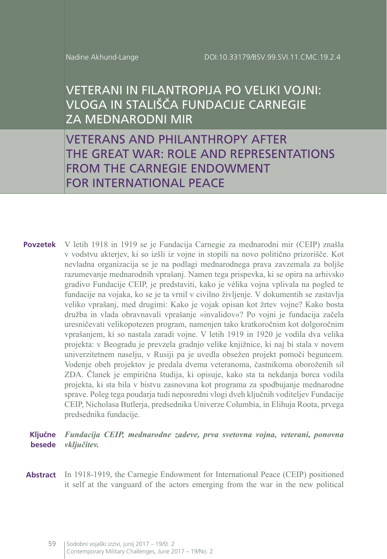# VETERANI IN FILANTROPIJA PO VELIKI VOJNI: VLOGA IN STALIŠČA FUNDACIJE CARNEGIE ZA MEDNARODNI MIR

VETERANS AND PHILANTHROPY AFTER THE GREAT WAR: ROLE AND REPRESENTATIONS FROM THE CARNEGIE ENDOWMENT FOR INTERNATIONAL PEACE

- **Povzetek** V letih 1918 in 1919 se je Fundacija Carnegie za mednarodni mir (CEIP) znašla v vodstvu akterjev, ki so izšli iz vojne in stopili na novo politično prizorišče. Kot nevladna organizacija se je na podlagi mednarodnega prava zavzemala za boljše razumevanje mednarodnih vprašanj. Namen tega prispevka, ki se opira na arhivsko gradivo Fundacije CEIP, je predstaviti, kako je vélika vojna vplivala na pogled te fundacije na vojaka, ko se je ta vrnil v civilno življenje. V dokumentih se zastavlja veliko vprašanj, med drugimi: Kako je vojak opisan kot žrtev vojne? Kako bosta družba in vlada obravnavali vprašanje »invalidov«? Po vojni je fundacija začela uresničevati velikopotezen program, namenjen tako kratkoročnim kot dolgoročnim vprašanjem, ki so nastala zaradi vojne. V letih 1919 in 1920 je vodila dva velika projekta: v Beogradu je prevzela gradnjo velike knjižnice, ki naj bi stala v novem univerzitetnem naselju, v Rusiji pa je uvedla obsežen projekt pomoči beguncem. Vodenje obeh projektov je predala dvema veteranoma, častnikoma oboroženih sil ZDA. Članek je empirična študija, ki opisuje, kako sta ta nekdanja borca vodila projekta, ki sta bila v bistvu zasnovana kot programa za spodbujanje mednarodne sprave. Poleg tega poudarja tudi neposredni vlogi dveh ključnih voditeljev Fundacije CEIP, Nicholasa Butlerja, predsednika Univerze Columbia, in Elihuja Roota, prvega predsednika fundacije.
	- **Ključne besede** *Fundacija CEIP, mednarodne zadeve, prva svetovna vojna, veterani, ponovna vključitev.*
- Abstract In 1918-1919, the Carnegie Endowment for International Peace (CEIP) positioned it self at the vanguard of the actors emerging from the war in the new political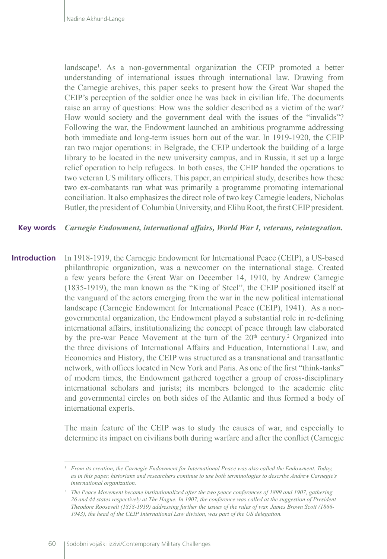landscape<sup>1</sup>. As a non-governmental organization the CEIP promoted a better understanding of international issues through international law. Drawing from the Carnegie archives, this paper seeks to present how the Great War shaped the CEIP's perception of the soldier once he was back in civilian life. The documents raise an array of questions: How was the soldier described as a victim of the war? How would society and the government deal with the issues of the "invalids"? Following the war, the Endowment launched an ambitious programme addressing both immediate and long-term issues born out of the war. In 1919-1920, the CEIP ran two major operations: in Belgrade, the CEIP undertook the building of a large library to be located in the new university campus, and in Russia, it set up a large relief operation to help refugees. In both cases, the CEIP handed the operations to two veteran US military officers. This paper, an empirical study, describes how these two ex-combatants ran what was primarily a programme promoting international conciliation. It also emphasizes the direct role of two key Carnegie leaders, Nicholas Butler, the president of Columbia University, and Elihu Root, the first CEIP president.

*Carnegie Endowment, international affairs, World War I, veterans, reintegration.* **Key words**

In 1918-1919, the Carnegie Endowment for International Peace (CEIP), a US-based philanthropic organization, was a newcomer on the international stage. Created a few years before the Great War on December 14, 1910, by Andrew Carnegie (1835-1919), the man known as the "King of Steel", the CEIP positioned itself at the vanguard of the actors emerging from the war in the new political international landscape (Carnegie Endowment for International Peace (CEIP), 1941). As a nongovernmental organization, the Endowment played a substantial role in re-defining international affairs, institutionalizing the concept of peace through law elaborated by the pre-war Peace Movement at the turn of the  $20<sup>th</sup>$  century.<sup>2</sup> Organized into the three divisions of International Affairs and Education, International Law, and Economics and History, the CEIP was structured as a transnational and transatlantic network, with offices located in New York and Paris. As one of the first "think-tanks" of modern times, the Endowment gathered together a group of cross-disciplinary international scholars and jurists; its members belonged to the academic elite and governmental circles on both sides of the Atlantic and thus formed a body of international experts. **Introduction**

> The main feature of the CEIP was to study the causes of war, and especially to determine its impact on civilians both during warfare and after the conflict (Carnegie

*<sup>1</sup> From its creation, the Carnegie Endowment for International Peace was also called the Endowment. Today, as in this paper, historians and researchers continue to use both terminologies to describe Andrew Carnegie's international organization.*

*<sup>2</sup> The Peace Movement became institutionalized after the two peace conferences of 1899 and 1907, gathering 26 and 44 states respectively at The Hague. In 1907, the conference was called at the suggestion of President Theodore Roosevelt (1858-1919) addressing further the issues of the rules of war. James Brown Scott (1866- 1943), the head of the CEIP International Law division, was part of the US delegation.*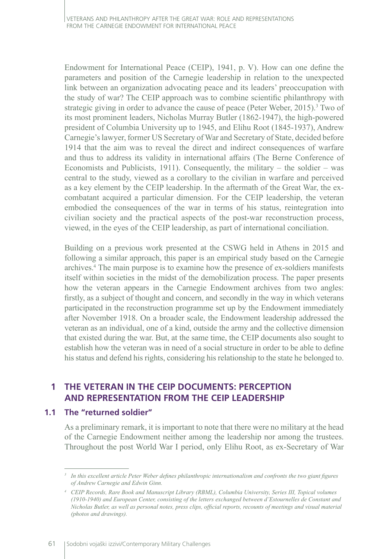Endowment for International Peace (CEIP), 1941, p. V). How can one define the parameters and position of the Carnegie leadership in relation to the unexpected link between an organization advocating peace and its leaders' preoccupation with the study of war? The CEIP approach was to combine scientific philanthropy with strategic giving in order to advance the cause of peace (Peter Weber, 2015).<sup>3</sup> Two of its most prominent leaders, Nicholas Murray Butler (1862-1947), the high-powered president of Columbia University up to 1945, and Elihu Root (1845-1937), Andrew Carnegie's lawyer, former US Secretary of War and Secretary of State, decided before 1914 that the aim was to reveal the direct and indirect consequences of warfare and thus to address its validity in international affairs (The Berne Conference of Economists and Publicists, 1911). Consequently, the military  $-$  the soldier  $-$  was central to the study, viewed as a corollary to the civilian in warfare and perceived as a key element by the CEIP leadership. In the aftermath of the Great War, the excombatant acquired a particular dimension. For the CEIP leadership, the veteran embodied the consequences of the war in terms of his status, reintegration into civilian society and the practical aspects of the post-war reconstruction process, viewed, in the eyes of the CEIP leadership, as part of international conciliation.

Building on a previous work presented at the CSWG held in Athens in 2015 and following a similar approach, this paper is an empirical study based on the Carnegie archives.4 The main purpose is to examine how the presence of ex-soldiers manifests itself within societies in the midst of the demobilization process. The paper presents how the veteran appears in the Carnegie Endowment archives from two angles: firstly, as a subject of thought and concern, and secondly in the way in which veterans participated in the reconstruction programme set up by the Endowment immediately after November 1918. On a broader scale, the Endowment leadership addressed the veteran as an individual, one of a kind, outside the army and the collective dimension that existed during the war. But, at the same time, the CEIP documents also sought to establish how the veteran was in need of a social structure in order to be able to define his status and defend his rights, considering his relationship to the state he belonged to.

# **1 THE VETERAN IN THE CEIP DOCUMENTS: PERCEPTION AND REPRESENTATION FROM THE CEIP LEADERSHIP**

#### **1.1 The "returned soldier"**

As a preliminary remark, it is important to note that there were no military at the head of the Carnegie Endowment neither among the leadership nor among the trustees. Throughout the post World War I period, only Elihu Root, as ex-Secretary of War

*<sup>3</sup> In this excellent article Peter Weber defines philanthropic internationalism and confronts the two giant figures of Andrew Carnegie and Edwin Ginn.*

*<sup>4</sup> CEIP Records, Rare Book and Manuscript Library (RBML), Columbia University, Series III, Topical volumes (1910-1940) and European Center, consisting of the letters exchanged between d'Estournelles de Constant and Nicholas Butler, as well as personal notes, press clips, official reports, recounts of meetings and visual material (photos and drawings).*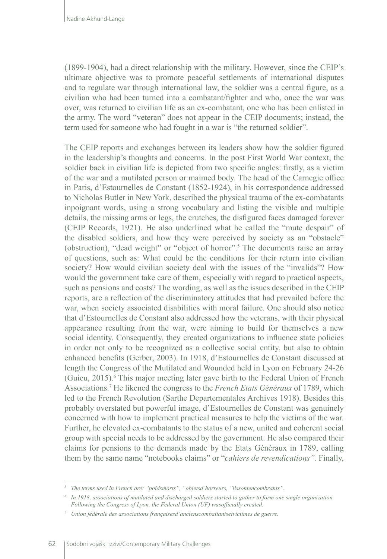(1899-1904), had a direct relationship with the military. However, since the CEIP's ultimate objective was to promote peaceful settlements of international disputes and to regulate war through international law, the soldier was a central figure, as a civilian who had been turned into a combatant/fighter and who, once the war was over, was returned to civilian life as an ex-combatant, one who has been enlisted in the army. The word "veteran" does not appear in the CEIP documents; instead, the term used for someone who had fought in a war is "the returned soldier".

The CEIP reports and exchanges between its leaders show how the soldier figured in the leadership's thoughts and concerns. In the post First World War context, the soldier back in civilian life is depicted from two specific angles: firstly, as a victim of the war and a mutilated person or maimed body. The head of the Carnegie office in Paris, d'Estournelles de Constant (1852-1924), in his correspondence addressed to Nicholas Butler in New York, described the physical trauma of the ex-combatants inpoignant words, using a strong vocabulary and listing the visible and multiple details, the missing arms or legs, the crutches, the disfigured faces damaged forever (CEIP Records, 1921). He also underlined what he called the "mute despair" of the disabled soldiers, and how they were perceived by society as an "obstacle" (obstruction), "dead weight" or "object of horror".<sup>5</sup> The documents raise an array of questions, such as: What could be the conditions for their return into civilian society? How would civilian society deal with the issues of the "invalids"? How would the government take care of them, especially with regard to practical aspects, such as pensions and costs? The wording, as well as the issues described in the CEIP reports, are a reflection of the discriminatory attitudes that had prevailed before the war, when society associated disabilities with moral failure. One should also notice that d'Estournelles de Constant also addressed how the veterans, with their physical appearance resulting from the war, were aiming to build for themselves a new social identity. Consequently, they created organizations to influence state policies in order not only to be recognized as a collective social entity, but also to obtain enhanced benefits (Gerber, 2003). In 1918, d'Estournelles de Constant discussed at length the Congress of the Mutilated and Wounded held in Lyon on February 24-26 (Guieu, 2015).<sup>6</sup> This major meeting later gave birth to the Federal Union of French Associations.<sup>7</sup> He likened the congress to the *French Etats Généraux* of 1789, which led to the French Revolution (Sarthe Departementales Archives 1918). Besides this probably overstated but powerful image, d'Estournelles de Constant was genuinely concerned with how to implement practical measures to help the victims of the war. Further, he elevated ex-combatants to the status of a new, united and coherent social group with special needs to be addressed by the government. He also compared their claims for pensions to the demands made by the Etats Généraux in 1789, calling them by the same name "notebooks claims" or "*cahiers de revendications".* Finally,

*<sup>5</sup> The terms used in French are: "poidsmorts", "objetsd'horreurs, "ilssontencombrants".*

*<sup>6</sup> In 1918, associations of mutilated and discharged soldiers started to gather to form one single organization. Following the Congress of Lyon, the Federal Union (UF) wasofficially created.*

*<sup>7</sup> Union fédérale des associations françaisesd'ancienscombattantsetvictimes de guerre.*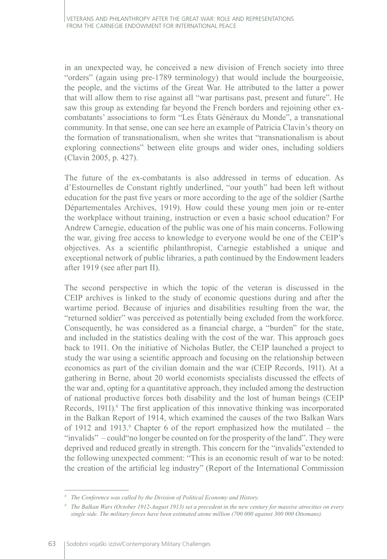in an unexpected way, he conceived a new division of French society into three "orders" (again using pre-1789 terminology) that would include the bourgeoisie, the people, and the victims of the Great War. He attributed to the latter a power that will allow them to rise against all "war partisans past, present and future". He saw this group as extending far beyond the French borders and rejoining other excombatants' associations to form "Les États Généraux du Monde", a transnational community. In that sense, one can see here an example of Patricia Clavin's theory on the formation of transnationalism, when she writes that "transnationalism is about exploring connections" between elite groups and wider ones, including soldiers (Clavin 2005, p. 427).

The future of the ex-combatants is also addressed in terms of education. As d'Estournelles de Constant rightly underlined, "our youth" had been left without education for the past five years or more according to the age of the soldier (Sarthe Départementales Archives, 1919). How could these young men join or re-enter the workplace without training, instruction or even a basic school education? For Andrew Carnegie, education of the public was one of his main concerns. Following the war, giving free access to knowledge to everyone would be one of the CEIP's objectives. As a scientific philanthropist, Carnegie established a unique and exceptional network of public libraries, a path continued by the Endowment leaders after 1919 (see after part II).

The second perspective in which the topic of the veteran is discussed in the CEIP archives is linked to the study of economic questions during and after the wartime period. Because of injuries and disabilities resulting from the war, the "returned soldier" was perceived as potentially being excluded from the workforce. Consequently, he was considered as a financial charge, a "burden" for the state, and included in the statistics dealing with the cost of the war. This approach goes back to 1911. On the initiative of Nicholas Butler, the CEIP launched a project to study the war using a scientific approach and focusing on the relationship between economics as part of the civilian domain and the war (CEIP Records, 1911). At a gathering in Berne, about 20 world economists specialists discussed the effects of the war and, opting for a quantitative approach, they included among the destruction of national productive forces both disability and the lost of human beings (CEIP Records, 1911).<sup>8</sup> The first application of this innovative thinking was incorporated in the Balkan Report of 1914, which examined the causes of the two Balkan Wars of 1912 and 1913.<sup>9</sup> Chapter 6 of the report emphasized how the mutilated – the "invalids" – could"no longer be counted on for the prosperity of the land". They were deprived and reduced greatly in strength. This concern for the "invalids"extended to the following unexpected comment: "This is an economic result of war to be noted: the creation of the artificial leg industry" (Report of the International Commission

*<sup>8</sup> The Conference was called by the Division of Political Economy and History.*

*<sup>9</sup> The Balkan Wars (October 1912-August 1913) set a precedent in the new century for massive atrocities on every single side. The military forces have been estimated atone million (700 000 against 300 000 Ottomans).*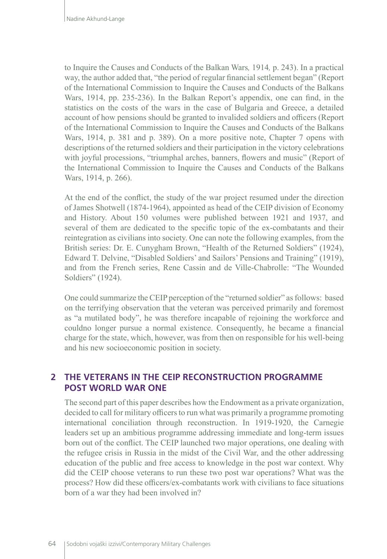to Inquire the Causes and Conducts of the Balkan Wars*,* 1914*,* p. 243). In a practical way, the author added that, "the period of regular financial settlement began" (Report of the International Commission to Inquire the Causes and Conducts of the Balkans Wars, 1914, pp. 235-236). In the Balkan Report's appendix, one can find, in the statistics on the costs of the wars in the case of Bulgaria and Greece, a detailed account of how pensions should be granted to invalided soldiers and officers (Report of the International Commission to Inquire the Causes and Conducts of the Balkans Wars, 1914, p. 381 and p. 389). On a more positive note, Chapter 7 opens with descriptions of the returned soldiers and their participation in the victory celebrations with joyful processions, "triumphal arches, banners, flowers and music" (Report of the International Commission to Inquire the Causes and Conducts of the Balkans Wars, 1914, p. 266).

At the end of the conflict, the study of the war project resumed under the direction of James Shotwell (1874-1964), appointed as head of the CEIP division of Economy and History. About 150 volumes were published between 1921 and 1937, and several of them are dedicated to the specific topic of the ex-combatants and their reintegration as civilians into society. One can note the following examples, from the British series: Dr. E. Cunygham Brown, "Health of the Returned Soldiers" (1924), Edward T. Delvine, "Disabled Soldiers' and Sailors' Pensions and Training" (1919), and from the French series, Rene Cassin and de Ville-Chabrolle: "The Wounded Soldiers" (1924).

One could summarize the CEIP perception of the "returned soldier" as follows: based on the terrifying observation that the veteran was perceived primarily and foremost as "a mutilated body", he was therefore incapable of rejoining the workforce and couldno longer pursue a normal existence. Consequently, he became a financial charge for the state, which, however, was from then on responsible for his well-being and his new socioeconomic position in society.

# **2 THE VETERANS IN THE CEIP RECONSTRUCTION PROGRAMME POST WORLD WAR ONE**

The second part of this paper describes how the Endowment as a private organization, decided to call for military officers to run what was primarily a programme promoting international conciliation through reconstruction. In 1919-1920, the Carnegie leaders set up an ambitious programme addressing immediate and long-term issues born out of the conflict. The CEIP launched two major operations, one dealing with the refugee crisis in Russia in the midst of the Civil War, and the other addressing education of the public and free access to knowledge in the post war context. Why did the CEIP choose veterans to run these two post war operations? What was the process? How did these officers/ex-combatants work with civilians to face situations born of a war they had been involved in?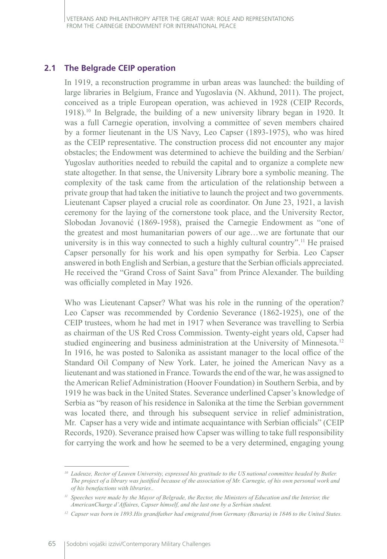### **2.1 The Belgrade CEIP operation**

In 1919, a reconstruction programme in urban areas was launched: the building of large libraries in Belgium, France and Yugoslavia (N. Akhund, 2011). The project, conceived as a triple European operation, was achieved in 1928 (CEIP Records, 1918).<sup>10</sup> In Belgrade, the building of a new university library began in 1920. It was a full Carnegie operation, involving a committee of seven members chaired by a former lieutenant in the US Navy, Leo Capser (1893-1975), who was hired as the CEIP representative. The construction process did not encounter any major obstacles; the Endowment was determined to achieve the building and the Serbian/ Yugoslav authorities needed to rebuild the capital and to organize a complete new state altogether. In that sense, the University Library bore a symbolic meaning. The complexity of the task came from the articulation of the relationship between a private group that had taken the initiative to launch the project and two governments. Lieutenant Capser played a crucial role as coordinator. On June 23, 1921, a lavish ceremony for the laying of the cornerstone took place, and the University Rector, Slobodan Jovanović (1869-1958), praised the Carnegie Endowment as "one of the greatest and most humanitarian powers of our age…we are fortunate that our university is in this way connected to such a highly cultural country".<sup>11</sup> He praised Capser personally for his work and his open sympathy for Serbia. Leo Capser answered in both English and Serbian, a gesture that the Serbian officials appreciated. He received the "Grand Cross of Saint Sava" from Prince Alexander. The building was officially completed in May 1926.

Who was Lieutenant Capser? What was his role in the running of the operation? Leo Capser was recommended by Cordenio Severance (1862-1925), one of the CEIP trustees, whom he had met in 1917 when Severance was travelling to Serbia as chairman of the US Red Cross Commission. Twenty-eight years old, Capser had studied engineering and business administration at the University of Minnesota.<sup>12</sup> In 1916, he was posted to Salonika as assistant manager to the local office of the Standard Oil Company of New York. Later, he joined the American Navy as a lieutenant and was stationed in France. Towards the end of the war, he was assigned to the American Relief Administration (Hoover Foundation) in Southern Serbia, and by 1919 he was back in the United States. Severance underlined Capser's knowledge of Serbia as "by reason of his residence in Salonika at the time the Serbian government was located there, and through his subsequent service in relief administration, Mr. Capser has a very wide and intimate acquaintance with Serbian officials" (CEIP Records, 1920). Severance praised how Capser was willing to take full responsibility for carrying the work and how he seemed to be a very determined, engaging young

*<sup>10</sup> Ladeuze, Rector of Leuven University, expressed his gratitude to the US national committee headed by Butler. The project of a library was justified because of the association of Mr. Carnegie, of his own personal work and of his benefactions with libraries..*

<sup>&</sup>lt;sup>11</sup> Speeches were made by the Mayor of Belgrade, the Rector, the Ministers of Education and the Interior, the *AmericanCharge d'Affaires, Capser himself, and the last one by a Serbian student.*

*<sup>12</sup> Capser was born in 1893.His grandfather had emigrated from Germany (Bavaria) in 1846 to the United States.*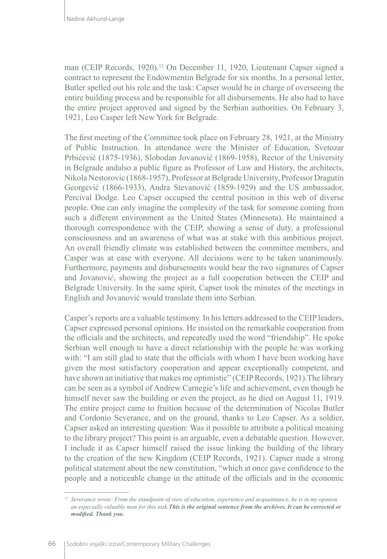man (CEIP Records, 1920).<sup>13</sup> On December 11, 1920, Lieutenant Capser signed a contract to represent the Endowmentin Belgrade for six months*.* In a personal letter, Butler spelled out his role and the task: Capser would be in charge of overseeing the entire building process and be responsible for all disbursements. He also had to have the entire project approved and signed by the Serbian authorities. On February 3, 1921, Leo Casper left New York for Belgrade.

The first meeting of the Committee took place on February 28, 1921, at the Ministry of Public Instruction. In attendance were the Minister of Education, Svetozar Prbićević (1875-1936), Slobodan Jovanović (1869-1958), Rector of the University in Belgrade andalso a public figure as Professor of Law and History, the architects, Nikola Nestorovic (1868-1957), Professor at Belgrade University, Professor Dragutin Georgević (1866-1933), Andra Stevanović (1859-1929) and the US ambassador, Percival Dodge. Leo Capser occupied the central position in this web of diverse people. One can only imagine the complexity of the task for someone coming from such a different environment as the United States (Minnesota). He maintained a thorough correspondence with the CEIP, showing a sense of duty, a professional consciousness and an awareness of what was at stake with this ambitious project. An overall friendly climate was established between the committee members, and Casper was at ease with everyone. All decisions were to be taken unanimously. Furthermore, payments and disbursements would bear the two signatures of Capser and Jovanovi*ć*, showing the project as a full cooperation between the CEIP and Belgrade University. In the same spirit, Capser took the minutes of the meetings in English and Jovanović would translate them into Serbian.

Casper's reports are a valuable testimony. In his letters addressed to the CEIP leaders, Capser expressed personal opinions. He insisted on the remarkable cooperation from the officials and the architects, and repeatedly used the word "friendship". He spoke Serbian well enough to have a direct relationship with the people he was working with: "I am still glad to state that the officials with whom I have been working have given the most satisfactory cooperation and appear exceptionally competent, and have shown an initiative that makes me optimistic" (CEIP Records, 1921).The library can be seen as a symbol of Andrew Carnegie's life and achievement, even though he himself never saw the building or even the project, as he died on August 11, 1919. The entire project came to fruition because of the determination of Nicolas Butler and Cordonio Severance, and on the ground, thanks to Leo Capser. As a soldier, Capser asked an interesting question: Was it possible to attribute a political meaning to the library project? This point is an arguable, even a debatable question. However, I include it as Capser himself raised the issue linking the building of the library to the creation of the new Kingdom (CEIP Records, 1921). Capser made a strong political statement about the new constitution, "which at once gave confidence to the people and a noticeable change in the attitude of the officials and in the economic

*<sup>13</sup> Severance wrote: From the standpoint of view of education, experience and acquaintance, he is in my opinion an especially valuable man for this task.This is the original sentence from the archives. It can be corrected or modified. Thank you.*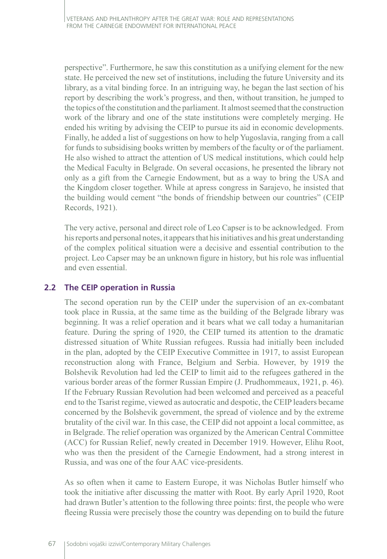perspective". Furthermore, he saw this constitution as a unifying element for the new state. He perceived the new set of institutions, including the future University and its library, as a vital binding force. In an intriguing way, he began the last section of his report by describing the work's progress, and then, without transition, he jumped to the topics of the constitution and the parliament. It almost seemed that the construction work of the library and one of the state institutions were completely merging. He ended his writing by advising the CEIP to pursue its aid in economic developments. Finally, he added a list of suggestions on how to help Yugoslavia, ranging from a call for funds to subsidising books written by members of the faculty or of the parliament. He also wished to attract the attention of US medical institutions, which could help the Medical Faculty in Belgrade. On several occasions, he presented the library not only as a gift from the Carnegie Endowment, but as a way to bring the USA and the Kingdom closer together. While at apress congress in Sarajevo, he insisted that the building would cement "the bonds of friendship between our countries" (CEIP Records, 1921).

The very active, personal and direct role of Leo Capser is to be acknowledged. From his reports and personal notes, it appears that his initiatives and his great understanding of the complex political situation were a decisive and essential contribution to the project. Leo Capser may be an unknown figure in history, but his role was influential and even essential.

## **2.2 The CEIP operation in Russia**

The second operation run by the CEIP under the supervision of an ex-combatant took place in Russia, at the same time as the building of the Belgrade library was beginning. It was a relief operation and it bears what we call today a humanitarian feature. During the spring of 1920, the CEIP turned its attention to the dramatic distressed situation of White Russian refugees. Russia had initially been included in the plan, adopted by the CEIP Executive Committee in 1917, to assist European reconstruction along with France, Belgium and Serbia. However, by 1919 the Bolshevik Revolution had led the CEIP to limit aid to the refugees gathered in the various border areas of the former Russian Empire (J. Prudhommeaux, 1921, p. 46). If the February Russian Revolution had been welcomed and perceived as a peaceful end to the Tsarist regime, viewed as autocratic and despotic, the CEIP leaders became concerned by the Bolshevik government, the spread of violence and by the extreme brutality of the civil war. In this case, the CEIP did not appoint a local committee, as in Belgrade. The relief operation was organized by the American Central Committee (ACC) for Russian Relief, newly created in December 1919. However, Elihu Root, who was then the president of the Carnegie Endowment, had a strong interest in Russia, and was one of the four AAC vice-presidents.

As so often when it came to Eastern Europe, it was Nicholas Butler himself who took the initiative after discussing the matter with Root. By early April 1920, Root had drawn Butler's attention to the following three points: first, the people who were fleeing Russia were precisely those the country was depending on to build the future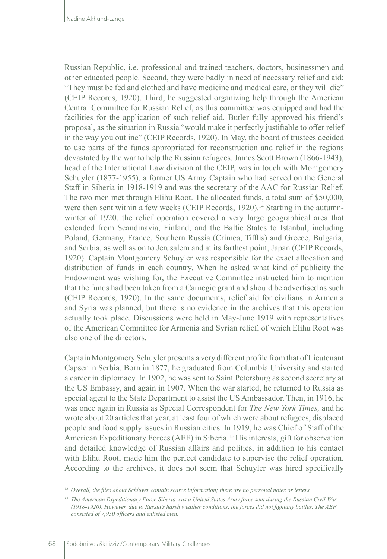Russian Republic, i.e. professional and trained teachers, doctors, businessmen and other educated people. Second, they were badly in need of necessary relief and aid: "They must be fed and clothed and have medicine and medical care, or they will die" (CEIP Records, 1920). Third, he suggested organizing help through the American Central Committee for Russian Relief, as this committee was equipped and had the facilities for the application of such relief aid. Butler fully approved his friend's proposal, as the situation in Russia "would make it perfectly justifiable to offer relief in the way you outline" (CEIP Records, 1920). In May, the board of trustees decided to use parts of the funds appropriated for reconstruction and relief in the regions devastated by the war to help the Russian refugees. James Scott Brown (1866-1943), head of the International Law division at the CEIP, was in touch with Montgomery Schuyler (1877-1955), a former US Army Captain who had served on the General Staff in Siberia in 1918-1919 and was the secretary of the AAC for Russian Relief. The two men met through Elihu Root. The allocated funds, a total sum of \$50,000, were then sent within a few weeks (CEIP Records, 1920).<sup>14</sup> Starting in the autumnwinter of 1920, the relief operation covered a very large geographical area that extended from Scandinavia, Finland, and the Baltic States to Istanbul, including Poland, Germany, France, Southern Russia (Crimea, Tifflis) and Greece, Bulgaria, and Serbia, as well as on to Jerusalem and at its farthest point, Japan (CEIP Records, 1920). Captain Montgomery Schuyler was responsible for the exact allocation and distribution of funds in each country. When he asked what kind of publicity the Endowment was wishing for, the Executive Committee instructed him to mention that the funds had been taken from a Carnegie grant and should be advertised as such (CEIP Records, 1920). In the same documents, relief aid for civilians in Armenia and Syria was planned, but there is no evidence in the archives that this operation actually took place. Discussions were held in May-June 1919 with representatives of the American Committee for Armenia and Syrian relief, of which Elihu Root was also one of the directors.

Captain Montgomery Schuyler presents a very different profile from that of Lieutenant Capser in Serbia. Born in 1877, he graduated from Columbia University and started a career in diplomacy. In 1902, he was sent to Saint Petersburg as second secretary at the US Embassy, and again in 1907. When the war started, he returned to Russia as special agent to the State Department to assist the US Ambassador. Then, in 1916, he was once again in Russia as Special Correspondent for *The New York Times,* and he wrote about 20 articles that year, at least four of which were about refugees, displaced people and food supply issues in Russian cities. In 1919, he was Chief of Staff of the American Expeditionary Forces (AEF) in Siberia.15 His interests, gift for observation and detailed knowledge of Russian affairs and politics, in addition to his contact with Elihu Root, made him the perfect candidate to supervise the relief operation. According to the archives, it does not seem that Schuyler was hired specifically

*<sup>14</sup> Overall, the files about Schluyer contain scarce information; there are no personal notes or letters.*

*<sup>15</sup> The American Expeditionary Force Siberia was a United States Army force sent during the Russian Civil War (1918-1920). However, due to Russia's harsh weather conditions, the forces did not fightany battles. The AEF consisted of 7,950 officers and enlisted men.*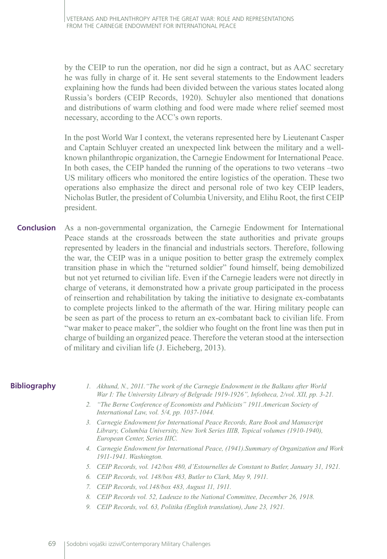by the CEIP to run the operation, nor did he sign a contract, but as AAC secretary he was fully in charge of it. He sent several statements to the Endowment leaders explaining how the funds had been divided between the various states located along Russia's borders (CEIP Records, 1920). Schuyler also mentioned that donations and distributions of warm clothing and food were made where relief seemed most necessary, according to the ACC's own reports.

In the post World War I context, the veterans represented here by Lieutenant Casper and Captain Schluyer created an unexpected link between the military and a wellknown philanthropic organization, the Carnegie Endowment for International Peace. In both cases, the CEIP handed the running of the operations to two veterans –two US military officers who monitored the entire logistics of the operation. These two operations also emphasize the direct and personal role of two key CEIP leaders, Nicholas Butler, the president of Columbia University, and Elihu Root, the first CEIP president.

As a non-governmental organization, the Carnegie Endowment for International Peace stands at the crossroads between the state authorities and private groups represented by leaders in the financial and industrials sectors. Therefore, following the war, the CEIP was in a unique position to better grasp the extremely complex transition phase in which the "returned soldier" found himself, being demobilized but not yet returned to civilian life. Even if the Carnegie leaders were not directly in charge of veterans, it demonstrated how a private group participated in the process of reinsertion and rehabilitation by taking the initiative to designate ex-combatants to complete projects linked to the aftermath of the war. Hiring military people can be seen as part of the process to return an ex-combatant back to civilian life. From "war maker to peace maker", the soldier who fought on the front line was then put in charge of building an organized peace. Therefore the veteran stood at the intersection of military and civilian life (J. Eicheberg, 2013). **Conclusion**

#### **Bibliography**

- *1. Akhund, N., 2011."The work of the Carnegie Endowment in the Balkans after World War I: The University Library of Belgrade 1919-1926", Infotheca, 2/vol. XII, pp. 3-21.*
- *2. "The Berne Conference of Economists and Publicists" 1911.American Society of International Law, vol. 5/4, pp. 1037-1044.*
- *3. Carnegie Endowment for International Peace Records, Rare Book and Manuscript Library, Columbia University, New York Series IIIB, Topical volumes (1910-1940), European Center, Series IIIC.*
- *4. Carnegie Endowment for International Peace, (1941).Summary of Organization and Work 1911-1941. Washington.*
- *5. CEIP Records, vol. 142/box 480, d'Estournelles de Constant to Butler, January 31, 1921.*
- *6. CEIP Records, vol. 148/box 483, Butler to Clark, May 9, 1911.*
- *7. CEIP Records, vol.148/box 483, August 11, 1911.*
- *8. CEIP Records vol. 52, Ladeuze to the National Committee, December 26, 1918.*
- *9. CEIP Records, vol. 63, Politika (English translation), June 23, 1921.*